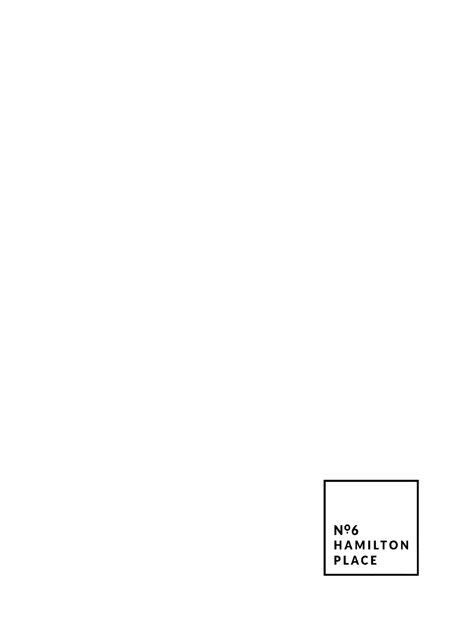**Nº6<br>HAMILTON** PLACE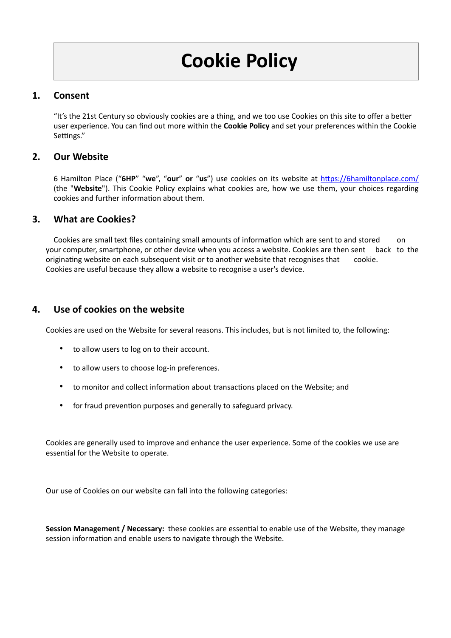## **1. Consent**

"It's the 21st Century so obviously cookies are a thing, and we too use Cookies on this site to offer a better user experience. You can find out more within the **Cookie Policy** and set your preferences within the Cookie Settings."

#### **2. Our Website**

6 Hamilton Place ("**6HP**" "**we**", "**our**" **or** "**us**") use cookies on its website at <https://6hamiltonplace.com/> (the "**Website**"). This Cookie Policy explains what cookies are, how we use them, your choices regarding cookies and further information about them.

#### **3. What are Cookies?**

Cookies are small text files containing small amounts of information which are sent to and stored on your computer, smartphone, or other device when you access a website. Cookies are then sent back to the originating website on each subsequent visit or to another website that recognises that cookie. Cookies are useful because they allow a website to recognise a user's device.

## **4. Use of cookies on the website**

Cookies are used on the Website for several reasons. This includes, but is not limited to, the following:

- to allow users to log on to their account.
- to allow users to choose log-in preferences.
- to monitor and collect information about transactions placed on the Website; and
- for fraud prevention purposes and generally to safeguard privacy.

Cookies are generally used to improve and enhance the user experience. Some of the cookies we use are essential for the Website to operate.

Our use of Cookies on our website can fall into the following categories:

**Session Management / Necessary:** these cookies are essential to enable use of the Website, they manage session information and enable users to navigate through the Website.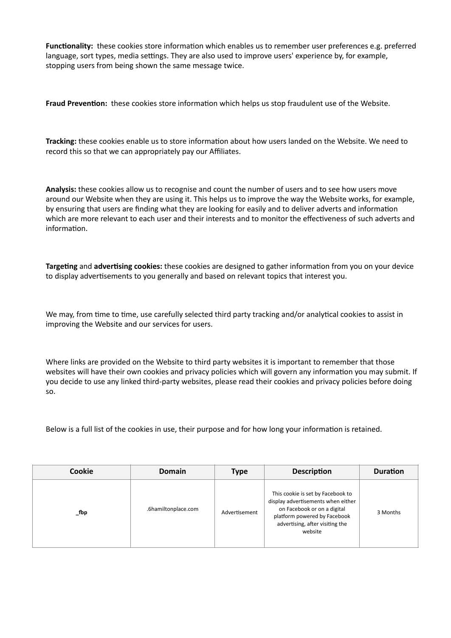**Functionality:** these cookies store information which enables us to remember user preferences e.g. preferred language, sort types, media settings. They are also used to improve users' experience by, for example, stopping users from being shown the same message twice.

**Fraud Prevention:** these cookies store information which helps us stop fraudulent use of the Website.

**Tracking:** these cookies enable us to store information about how users landed on the Website. We need to record this so that we can appropriately pay our Affiliates.

**Analysis:** these cookies allow us to recognise and count the number of users and to see how users move around our Website when they are using it. This helps us to improve the way the Website works, for example, by ensuring that users are finding what they are looking for easily and to deliver adverts and information which are more relevant to each user and their interests and to monitor the effectiveness of such adverts and information.

**Targeting** and **advertising cookies:** these cookies are designed to gather information from you on your device to display advertisements to you generally and based on relevant topics that interest you.

We may, from time to time, use carefully selected third party tracking and/or analytical cookies to assist in improving the Website and our services for users.

Where links are provided on the Website to third party websites it is important to remember that those websites will have their own cookies and privacy policies which will govern any information you may submit. If you decide to use any linked third-party websites, please read their cookies and privacy policies before doing so.

Below is a full list of the cookies in use, their purpose and for how long your information is retained.

| Cookie   | Domain              | <b>Type</b>   | <b>Description</b>                                                                                                                                                                   | <b>Duration</b> |
|----------|---------------------|---------------|--------------------------------------------------------------------------------------------------------------------------------------------------------------------------------------|-----------------|
| $\_$ fbp | .6hamiltonplace.com | Advertisement | This cookie is set by Facebook to<br>display advertisements when either<br>on Facebook or on a digital<br>platform powered by Facebook<br>advertising, after visiting the<br>website | 3 Months        |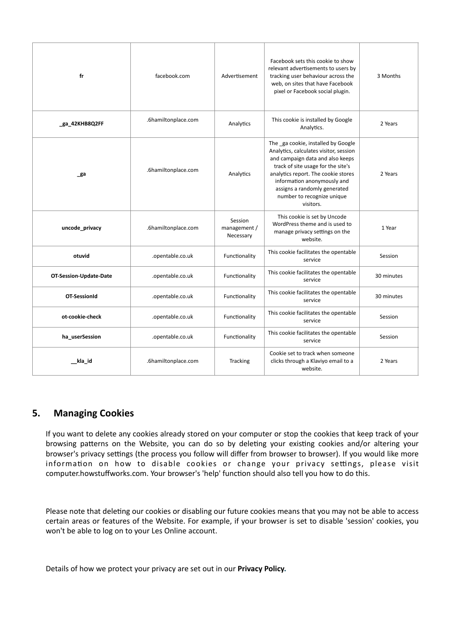| fr                            | facebook.com        | Advertisement                        | Facebook sets this cookie to show<br>relevant advertisements to users by<br>tracking user behaviour across the<br>web, on sites that have Facebook<br>pixel or Facebook social plugin.                                                                                                                   | 3 Months   |
|-------------------------------|---------------------|--------------------------------------|----------------------------------------------------------------------------------------------------------------------------------------------------------------------------------------------------------------------------------------------------------------------------------------------------------|------------|
| ga 42KHB8Q2FF                 | .6hamiltonplace.com | Analytics                            | This cookie is installed by Google<br>Analytics.                                                                                                                                                                                                                                                         | 2 Years    |
| _ga                           | .6hamiltonplace.com | Analytics                            | The _ga cookie, installed by Google<br>Analytics, calculates visitor, session<br>and campaign data and also keeps<br>track of site usage for the site's<br>analytics report. The cookie stores<br>information anonymously and<br>assigns a randomly generated<br>number to recognize unique<br>visitors. | 2 Years    |
| uncode_privacy                | .6hamiltonplace.com | Session<br>management /<br>Necessary | This cookie is set by Uncode<br>WordPress theme and is used to<br>manage privacy settings on the<br>website.                                                                                                                                                                                             | 1 Year     |
| otuvid                        | .opentable.co.uk    | Functionality                        | This cookie facilitates the opentable<br>service                                                                                                                                                                                                                                                         | Session    |
| <b>OT-Session-Update-Date</b> | .opentable.co.uk    | Functionality                        | This cookie facilitates the opentable<br>service                                                                                                                                                                                                                                                         | 30 minutes |
| <b>OT-SessionId</b>           | .opentable.co.uk    | Functionality                        | This cookie facilitates the opentable<br>service                                                                                                                                                                                                                                                         | 30 minutes |
| ot-cookie-check               | .opentable.co.uk    | Functionality                        | This cookie facilitates the opentable<br>service                                                                                                                                                                                                                                                         | Session    |
| ha userSession                | .opentable.co.uk    | Functionality                        | This cookie facilitates the opentable<br>service                                                                                                                                                                                                                                                         | Session    |
| kla id                        | .6hamiltonplace.com | Tracking                             | Cookie set to track when someone<br>clicks through a Klaviyo email to a<br>website.                                                                                                                                                                                                                      | 2 Years    |

# **5. Managing Cookies**

If you want to delete any cookies already stored on your computer or stop the cookies that keep track of your browsing patterns on the Website, you can do so by deleting your existing cookies and/or altering your browser's privacy settings (the process you follow will differ from browser to browser). If you would like more information on how to disable cookies or change your privacy settings, please visit computer.howstuffworks.com. Your browser's 'help' function should also tell you how to do this.

Please note that deleting our cookies or disabling our future cookies means that you may not be able to access certain areas or features of the Website. For example, if your browser is set to disable 'session' cookies, you won't be able to log on to your Les Online account.

Details of how we protect your privacy are set out in our **[Privacy Policy.](https://lesaclub-stg-admin.mhub2.com/privacy-policy)**